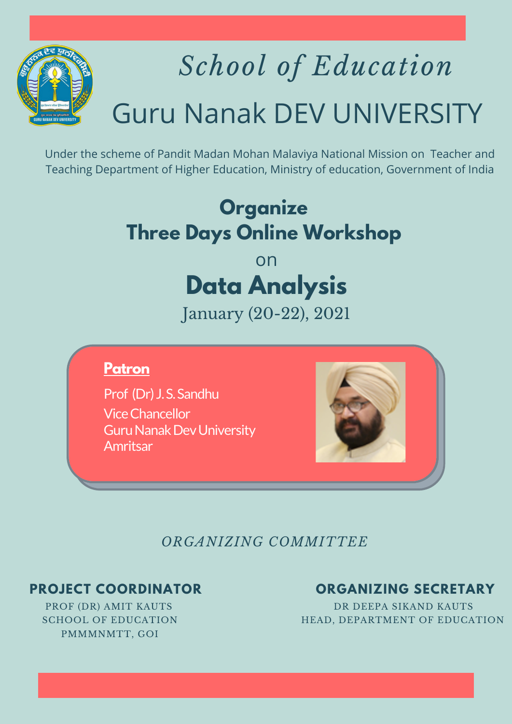

# *School of Education* Guru Nanak DEV UNIVERSITY

Under the scheme of Pandit Madan Mohan Malaviya National Mission on Teacher and Teaching Department of Higher Education, Ministry of education, Government of India

## **Organize Three Days Online Workshop**

### on **Data Analysis**

January (20-22), 2021

### **Patron**

Prof (Dr) J.S.Sandhu ViceChancellor **Guru Nanak Dev University** Amritsar



*ORGANIZING COMMITTEE*

PMMMNMTT, GOI

#### **PROJECT COORDINATOR ORGANIZING SECRETARY**

PROF (DR) AMIT KAUTS DR DEEPA SIKAND KAUTS SCHOOL OF EDUCATION **HEAD, DEPARTMENT OF EDUCATION**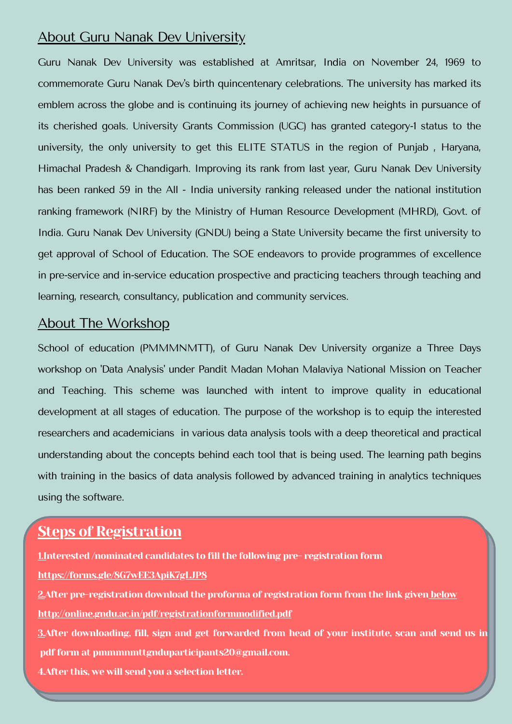#### About Guru Nanak Dev University

Guru Nanak Dev University was established at Amritsar, India on November 24, 1969 to commemorate Guru Nanak Dev's birth quincentenary celebrations. The university has marked its emblem across the globe and is continuing its journey of achieving new heights in pursuance of its cherished goals. University Grants Commission (UGC) has granted category-1 status to the university, the only university to get this ELITE STATUS in the region of Punjab , Haryana, Himachal Pradesh & Chandigarh. Improving its rank from last year, Guru Nanak Dev University has been ranked 59 in the All - India university ranking released under the national institution ranking framework (NIRF) by the Ministry of Human Resource Development (MHRD), Govt. of India. Guru Nanak Dev University (GNDU) being a State University became the first university to get approval of School of Education. The SOE endeavors to provide programmes of excellence in pre-service and in-service education prospective and practicing teachers through teaching and learning, research, consultancy, publication and community services.

#### About The Workshop

School of education (PMMMNMTT), of Guru Nanak Dev University organize a Three Days workshop on 'Data Analysis' under Pandit Madan Mohan Malaviya National Mission on Teacher and Teaching. This scheme was launched with intent to improve quality in educational development at all stages of education. The purpose of the workshop is to equip the interested researchers and academicians in various data analysis tools with a deep theoretical and practical understanding about the concepts behind each tool that is being used. The learning path begins with training in the basics of data analysis followed by advanced training in analytics techniques using the software.

#### Steps of Registration

1.Interested /nominated candidates to fill the following pre- registration form

<https://forms.gle/8G7wEE3ApiK7gLJP8>

2. After pre-registration download the proforma of registration form from the link given below <http://online.gndu.ac.in/pdf/registrationformmodified.pdf>

3.After downloading, fill, sign and get forwarded from head of your institute, scan and send us in pdf form at pmmmnmttgnduparticipants20@gmail.com.

4.After this, we will send you a selection letter.